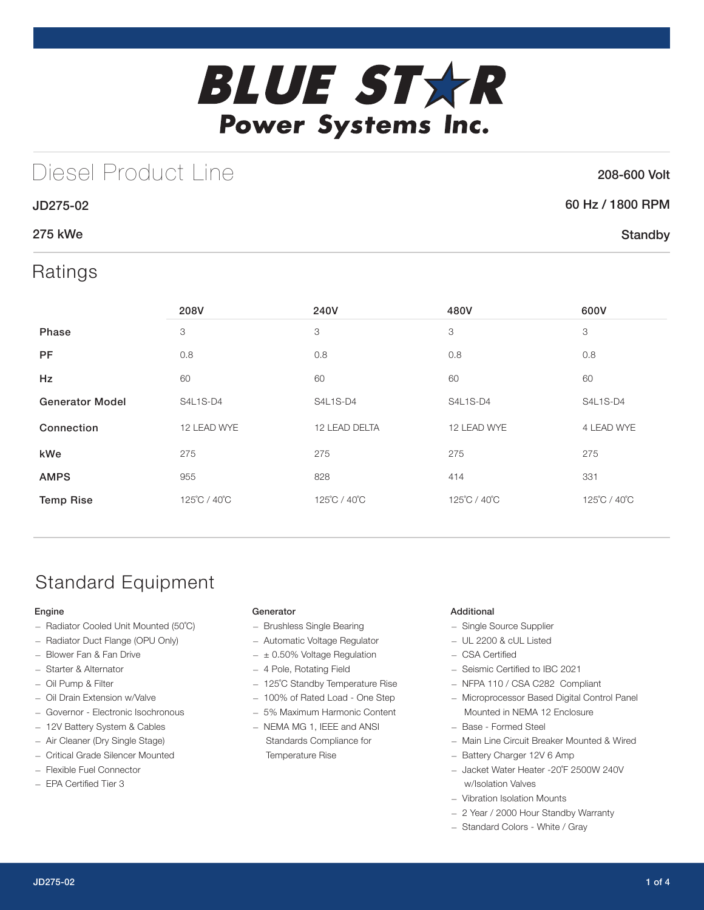

# Diesel Product Line

### 208-600 Volt

**Standby** 

## 60 Hz / 1800 RPM

## 275 kWe

JD275-02

## Ratings

|                        | 208V         | 240V          | 480V         | 600V         |
|------------------------|--------------|---------------|--------------|--------------|
| Phase                  | 3            | 3             | 3            | 3            |
| <b>PF</b>              | 0.8          | 0.8           | 0.8          | 0.8          |
| Hz                     | 60           | 60            | 60           | 60           |
| <b>Generator Model</b> | S4L1S-D4     | S4L1S-D4      | S4L1S-D4     | S4L1S-D4     |
| Connection             | 12 LEAD WYE  | 12 LEAD DELTA | 12 LEAD WYE  | 4 LEAD WYE   |
| kWe                    | 275          | 275           | 275          | 275          |
| <b>AMPS</b>            | 955          | 828           | 414          | 331          |
| <b>Temp Rise</b>       | 125°C / 40°C | 125°C / 40°C  | 125°C / 40°C | 125°C / 40°C |

# Standard Equipment

### Engine

- Radiator Cooled Unit Mounted (50˚C)
- Radiator Duct Flange (OPU Only)
- Blower Fan & Fan Drive
- Starter & Alternator
- Oil Pump & Filter
- Oil Drain Extension w/Valve
- Governor Electronic Isochronous
- 12V Battery System & Cables
- Air Cleaner (Dry Single Stage)
- Critical Grade Silencer Mounted
- Flexible Fuel Connector
- EPA Certified Tier 3

### Generator

- Brushless Single Bearing
- Automatic Voltage Regulator
- $\pm$  0.50% Voltage Regulation
- 4 Pole, Rotating Field
- 125˚C Standby Temperature Rise
- 100% of Rated Load One Step
- 5% Maximum Harmonic Content
- NEMA MG 1, IEEE and ANSI Standards Compliance for Temperature Rise

#### Additional

- Single Source Supplier
- UL 2200 & cUL Listed
- CSA Certified
- Seismic Certified to IBC 2021
- NFPA 110 / CSA C282 Compliant
- Microprocessor Based Digital Control Panel Mounted in NEMA 12 Enclosure
- Base Formed Steel
- Main Line Circuit Breaker Mounted & Wired
- Battery Charger 12V 6 Amp
- Jacket Water Heater -20˚F 2500W 240V w/Isolation Valves
- Vibration Isolation Mounts
- 2 Year / 2000 Hour Standby Warranty
- Standard Colors White / Gray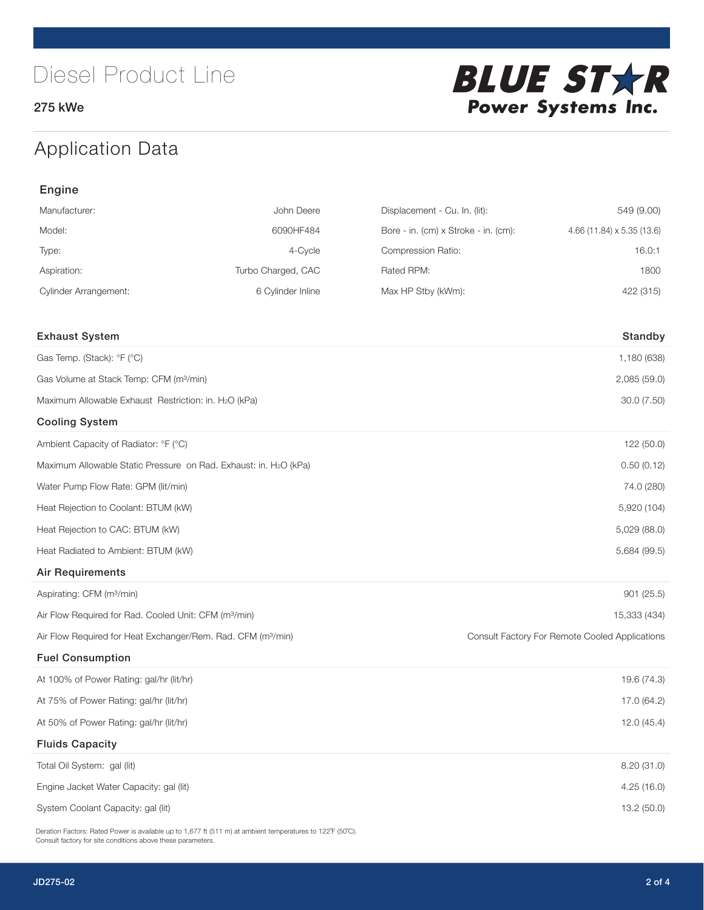275 kWe



# Application Data

| Engine                                                                   |                    |                                      |                                                |
|--------------------------------------------------------------------------|--------------------|--------------------------------------|------------------------------------------------|
| Manufacturer:                                                            | John Deere         | Displacement - Cu. In. (lit):        | 549 (9.00)                                     |
| Model:                                                                   | 6090HF484          | Bore - in. (cm) x Stroke - in. (cm): | 4.66 (11.84) x 5.35 (13.6)                     |
| Type:                                                                    | 4-Cycle            | Compression Ratio:                   | 16.0:1                                         |
| Aspiration:                                                              | Turbo Charged, CAC | Rated RPM:                           | 1800                                           |
| <b>Cylinder Arrangement:</b>                                             | 6 Cylinder Inline  | Max HP Stby (kWm):                   | 422 (315)                                      |
| <b>Exhaust System</b>                                                    |                    |                                      | Standby                                        |
| Gas Temp. (Stack): °F (°C)                                               |                    |                                      | 1,180 (638)                                    |
| Gas Volume at Stack Temp: CFM (m <sup>3</sup> /min)                      |                    |                                      | 2,085 (59.0)                                   |
| Maximum Allowable Exhaust Restriction: in. H2O (kPa)                     |                    |                                      | 30.0 (7.50)                                    |
|                                                                          |                    |                                      |                                                |
| <b>Cooling System</b>                                                    |                    |                                      |                                                |
| Ambient Capacity of Radiator: °F (°C)                                    |                    |                                      | 122 (50.0)                                     |
| Maximum Allowable Static Pressure on Rad. Exhaust: in. H2O (kPa)         |                    |                                      | 0.50(0.12)                                     |
| Water Pump Flow Rate: GPM (lit/min)                                      |                    |                                      | 74.0 (280)                                     |
| Heat Rejection to Coolant: BTUM (kW)                                     |                    |                                      | 5,920 (104)                                    |
| Heat Rejection to CAC: BTUM (kW)                                         |                    |                                      | 5,029 (88.0)                                   |
| Heat Radiated to Ambient: BTUM (kW)                                      |                    |                                      | 5,684 (99.5)                                   |
| <b>Air Requirements</b>                                                  |                    |                                      |                                                |
| Aspirating: CFM (m <sup>3</sup> /min)                                    |                    |                                      | 901 (25.5)                                     |
| Air Flow Required for Rad. Cooled Unit: CFM (m <sup>3</sup> /min)        |                    |                                      | 15,333 (434)                                   |
| Air Flow Required for Heat Exchanger/Rem. Rad. CFM (m <sup>3</sup> /min) |                    |                                      | Consult Factory For Remote Cooled Applications |
| <b>Fuel Consumption</b>                                                  |                    |                                      |                                                |
| At 100% of Power Rating: gal/hr (lit/hr)                                 |                    |                                      | 19.6 (74.3)                                    |
| At 75% of Power Rating: gal/hr (lit/hr)                                  |                    |                                      | 17.0 (64.2)                                    |
| At 50% of Power Rating: gal/hr (lit/hr)                                  |                    |                                      | 12.0 (45.4)                                    |
| <b>Fluids Capacity</b>                                                   |                    |                                      |                                                |
| Total Oil System: gal (lit)                                              |                    |                                      | 8.20 (31.0)                                    |
| Engine Jacket Water Capacity: gal (lit)                                  |                    |                                      | 4.25 (16.0)                                    |
| System Coolant Capacity: gal (lit)                                       |                    |                                      | 13.2 (50.0)                                    |

Deration Factors: Rated Power is available up to 1,677 ft (511 m) at ambient temperatures to 122°F (50°C). Consult factory for site conditions above these parameters.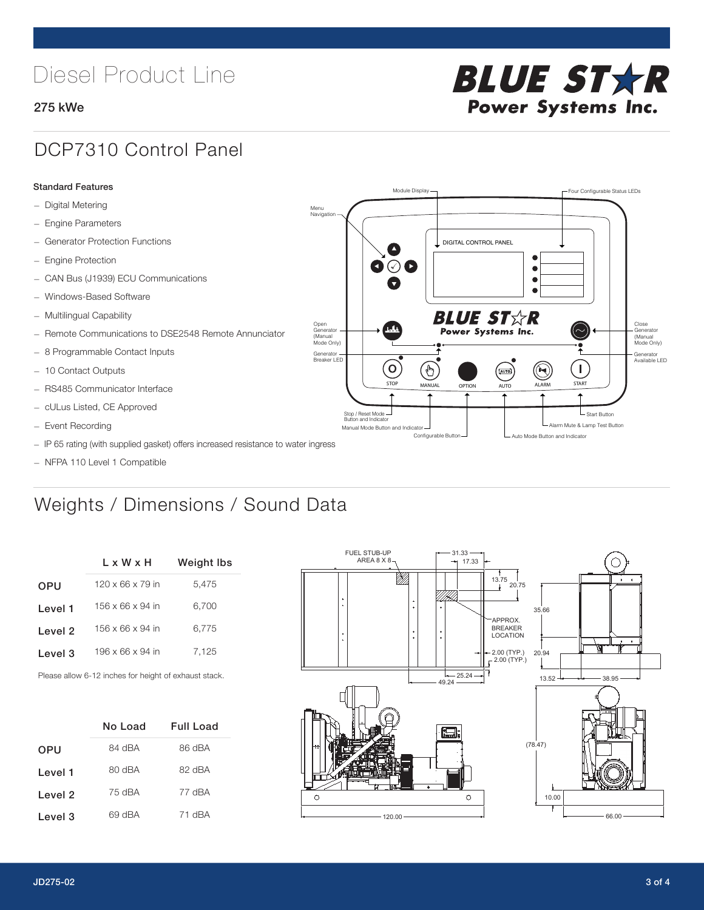# Diesel Product Line

### 275 kWe



## DCP7310 Control Panel

#### Standard Features

- Digital Metering
- Engine Parameters
- Generator Protection Functions
- Engine Protection
- CAN Bus (J1939) ECU Communications
- Windows-Based Software
- Multilingual Capability
- Remote Communications to DSE2548 Remote Annunciator
- 8 Programmable Contact Inputs
- 10 Contact Outputs
- RS485 Communicator Interface
- cULus Listed, CE Approved
- Event Recording
- IP 65 rating (with supplied gasket) offers increased resistance to water ingress
- NFPA 110 Level 1 Compatible

# Weights / Dimensions / Sound Data

|            | L x W x H                    | Weight Ibs |  |
|------------|------------------------------|------------|--|
| <b>OPU</b> | $120 \times 66 \times 79$ in | 5.475      |  |
| Level 1    | 156 x 66 x 94 in             | 6,700      |  |
| Level 2    | 156 x 66 x 94 in             | 6.775      |  |
| Level 3    | 196 x 66 x 94 in             | 7.125      |  |
|            |                              |            |  |

Please allow 6-12 inches for height of exhaust stack.

|                    | No Load | Full Load |
|--------------------|---------|-----------|
| <b>OPU</b>         | 84 dBA  | 86 dBA    |
| Level 1            | 80 dBA  | 82 dBA    |
| Level 2            | 75 dBA  | 77 dBA    |
| Level <sub>3</sub> | 69 dBA  | 71 dBA    |



STOP MANUAL OPTION AUTO ALARM START

.<br>[AUTO]

**BLUE STAR** Power Systems Inc.

Manual Mode Button and Indicator Sultane Mute & Lamp Test Button Mute & Lamp Test Button Mute & Lamp Test Button Configurable Button -  $\Box$  Auto Mode Button and Indicator

DIGITAL CONTROL PANEL

Module Display  $\Box$ 

 $\bullet$  $\bullet$  $\bullet$ 

 $\circledcirc$ 

Menu Navigation

Open Generator (Manual Mode Only)

Generator Breaker LED

Stop / Reset Mode Button and Indicator

 $\bullet$  $\bullet$   $\circ$   $\bullet$ 

 $\sigma$ 

՟Պ

Close Generator (Manual Mode Only)

Generator Available LED

- Start Button

 $\blacksquare$